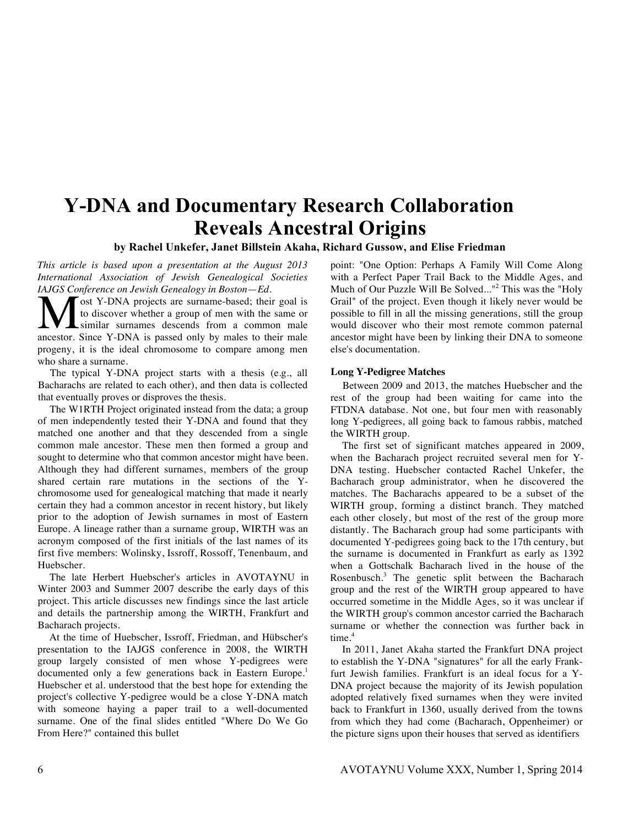# **Y-DNA and Documentary Research Collaboration Reveals Ancestral Origins**

# **by Rachel Unkefer, Janet Billstein Akaha, Richard Gussow, and Elise Friedman**

*This article is based upon a presentation at the August 2013 International Association of Jewish Genealogical Societies IAJGS Conference on Jewish Genealogy in Boston*—*Ed.*

ost Y-DNA projects are surname-based; their goal is to discover whether a group of men with the same or similar surnames descends from a common male **A** ost Y-DNA projects are surname-based; their goal is to discover whether a group of men with the same or a common male ancestor. Since Y-DNA is passed only by males to their male progeny, it is the ideal chromosome to compare among men who share a surname.

The typical Y-DNA project starts with a thesis (e.g., all Bacharachs are related to each other), and then data is collected that eventually proves or disproves the thesis.

The W1RTH Project originated instead from the data; a group of men independently tested their Y-DNA and found that they matched one another and that they descended from a single common male ancestor. These men then formed a group and sought to determine who that common ancestor might have been. Although they had different surnames, members of the group shared certain rare mutations in the sections of the Ychromosome used for genealogical matching that made it nearly certain they had a common ancestor in recent history, but likely prior to the adoption of Jewish surnames in most of Eastern Europe. A lineage rather than a surname group, WIRTH was an acronym composed of the first initials of the last names of its first five members: Wolinsky, Issroff, Rossoff, Tenenbaum, and Huebscher.

The late Herbert Huebscher's articles in AVOTAYNU in Winter 2003 and Summer 2007 describe the early days of this project. This article discusses new findings since the last article and details the partnership among the WIRTH, Frankfurt and Bacharach projects.

At the time of Huebscher, Issroff, Friedman, and Hübscher's presentation to the IAJGS conference in 2008, the WIRTH group largely consisted of men whose Y-pedigrees were documented only a few generations back in Eastern Europe.<sup>1</sup> Huebscher et al. understood that the best hope for extending the project's collective Y-pedigree would be a close Y-DNA match with someone haying a paper trail to a well-documented surname. One of the final slides entitled "Where Do We Go From Here?" contained this bullet

point: "One Option: Perhaps A Family Will Come Along with a Perfect Paper Trail Back to the Middle Ages, and Much of Our Puzzle Will Be Solved..."<sup>2</sup> This was the "Holy Grail" of the project. Even though it likely never would be possible to fill in all the missing generations, still the group would discover who their most remote common paternal ancestor might have been by linking their DNA to someone else's documentation.

#### **Long Y-Pedigree Matches**

Between 2009 and 2013, the matches Huebscher and the rest of the group had been waiting for came into the FTDNA database. Not one, but four men with reasonably long Y-pedigrees, all going back to famous rabbis, matched the WIRTH group.

The first set of significant matches appeared in 2009, when the Bacharach project recruited several men for Y-DNA testing. Huebscher contacted Rachel Unkefer, the Bacharach group administrator, when he discovered the matches. The Bacharachs appeared to be a subset of the WIRTH group, forming a distinct branch. They matched each other closely, but most of the rest of the group more distantly. The Bacharach group had some participants with documented Y-pedigrees going back to the 17th century, but the surname is documented in Frankfurt as early as 1392 when a Gottschalk Bacharach lived in the house of the Rosenbusch.<sup>3</sup> The genetic split between the Bacharach group and the rest of the WIRTH group appeared to have occurred sometime in the Middle Ages, so it was unclear if the WIRTH group's common ancestor carried the Bacharach surname or whether the connection was further back in time.<sup>4</sup>

In 2011, Janet Akaha started the Frankfurt DNA project to establish the Y-DNA "signatures" for all the early Frankfurt Jewish families. Frankfurt is an ideal focus for a Y-DNA project because the majority of its Jewish population adopted relatively fixed surnames when they were invited back to Frankfurt in 1360, usually derived from the towns from which they had come (Bacharach, Oppenheimer) or the picture signs upon their houses that served as identifiers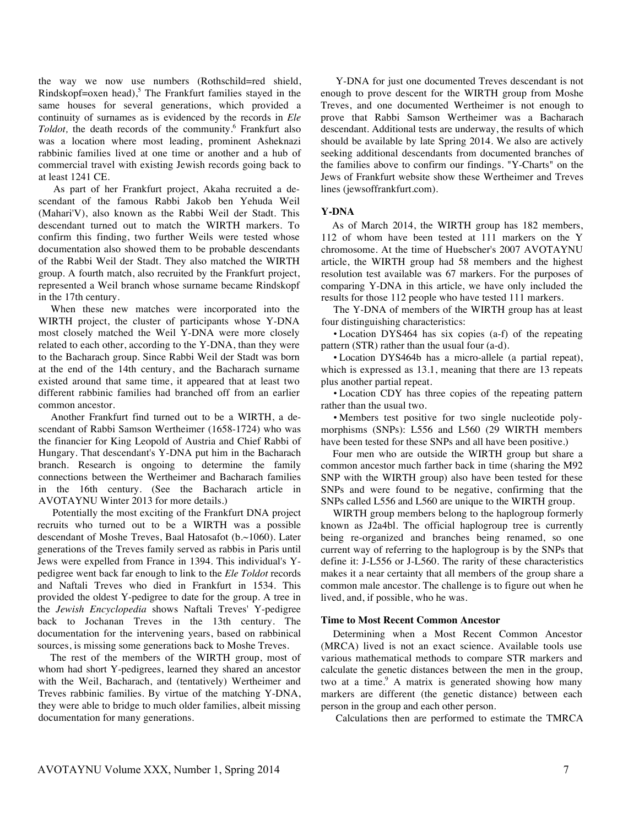the way we now use numbers (Rothschild=red shield, Rindskopf=oxen head),<sup>5</sup> The Frankfurt families stayed in the same houses for several generations, which provided a continuity of surnames as is evidenced by the records in *Ele Toldot*, the death records of the community.<sup>6</sup> Frankfurt also was a location where most leading, prominent Asheknazi rabbinic families lived at one time or another and a hub of commercial travel with existing Jewish records going back to at least 1241 CE.

As part of her Frankfurt project, Akaha recruited a descendant of the famous Rabbi Jakob ben Yehuda Weil (Mahari'V), also known as the Rabbi Weil der Stadt. This descendant turned out to match the WIRTH markers. To confirm this finding, two further Weils were tested whose documentation also showed them to be probable descendants of the Rabbi Weil der Stadt. They also matched the WIRTH group. A fourth match, also recruited by the Frankfurt project, represented a Weil branch whose surname became Rindskopf in the 17th century.

When these new matches were incorporated into the WIRTH project, the cluster of participants whose Y-DNA most closely matched the Weil Y-DNA were more closely related to each other, according to the Y-DNA, than they were to the Bacharach group. Since Rabbi Weil der Stadt was born at the end of the 14th century, and the Bacharach surname existed around that same time, it appeared that at least two different rabbinic families had branched off from an earlier common ancestor.

Another Frankfurt find turned out to be a WIRTH, a descendant of Rabbi Samson Wertheimer (1658-1724) who was the financier for King Leopold of Austria and Chief Rabbi of Hungary. That descendant's Y-DNA put him in the Bacharach branch. Research is ongoing to determine the family connections between the Wertheimer and Bacharach families in the 16th century. (See the Bacharach article in AVOTAYNU Winter 2013 for more details.)

Potentially the most exciting of the Frankfurt DNA project recruits who turned out to be a WIRTH was a possible descendant of Moshe Treves, Baal Hatosafot (b.~1060). Later generations of the Treves family served as rabbis in Paris until Jews were expelled from France in 1394. This individual's Ypedigree went back far enough to link to the *Ele Toldot* records and Naftali Treves who died in Frankfurt in 1534. This provided the oldest Y-pedigree to date for the group. A tree in the *Jewish Encyclopedia* shows Naftali Treves' Y-pedigree back to Jochanan Treves in the 13th century. The documentation for the intervening years, based on rabbinical sources, is missing some generations back to Moshe Treves.

The rest of the members of the WIRTH group, most of whom had short Y-pedigrees, learned they shared an ancestor with the Weil, Bacharach, and (tentatively) Wertheimer and Treves rabbinic families. By virtue of the matching Y-DNA, they were able to bridge to much older families, albeit missing documentation for many generations.

Y-DNA for just one documented Treves descendant is not enough to prove descent for the WIRTH group from Moshe Treves, and one documented Wertheimer is not enough to prove that Rabbi Samson Wertheimer was a Bacharach descendant. Additional tests are underway, the results of which should be available by late Spring 2014. We also are actively seeking additional descendants from documented branches of the families above to confirm our findings. "Y-Charts" on the Jews of Frankfurt website show these Wertheimer and Treves lines (jewsoffrankfurt.com).

#### **Y-DNA**

As of March 2014, the WIRTH group has 182 members, 112 of whom have been tested at 111 markers on the Y chromosome. At the time of Huebscher's 2007 AVOTAYNU article, the WIRTH group had 58 members and the highest resolution test available was 67 markers. For the purposes of comparing Y-DNA in this article, we have only included the results for those 112 people who have tested 111 markers.

The Y-DNA of members of the WIRTH group has at least four distinguishing characteristics:

• Location DYS464 has six copies (a-f) of the repeating pattern (STR) rather than the usual four (a-d).

• Location DYS464b has a micro-allele (a partial repeat), which is expressed as 13.1, meaning that there are 13 repeats plus another partial repeat.

• Location CDY has three copies of the repeating pattern rather than the usual two.

• Members test positive for two single nucleotide polymorphisms (SNPs): L556 and L560 (29 WIRTH members have been tested for these SNPs and all have been positive.)

Four men who are outside the WIRTH group but share a common ancestor much farther back in time (sharing the M92 SNP with the WIRTH group) also have been tested for these SNPs and were found to be negative, confirming that the SNPs called L556 and L560 are unique to the WIRTH group.

WIRTH group members belong to the haplogroup formerly known as J2a4bl. The official haplogroup tree is currently being re-organized and branches being renamed, so one current way of referring to the haplogroup is by the SNPs that define it: J-L556 or J-L560. The rarity of these characteristics makes it a near certainty that all members of the group share a common male ancestor. The challenge is to figure out when he lived, and, if possible, who he was.

#### **Time to Most Recent Common Ancestor**

Determining when a Most Recent Common Ancestor (MRCA) lived is not an exact science. Available tools use various mathematical methods to compare STR markers and calculate the genetic distances between the men in the group, two at a time.<sup>9</sup> A matrix is generated showing how many markers are different (the genetic distance) between each person in the group and each other person.

Calculations then are performed to estimate the TMRCA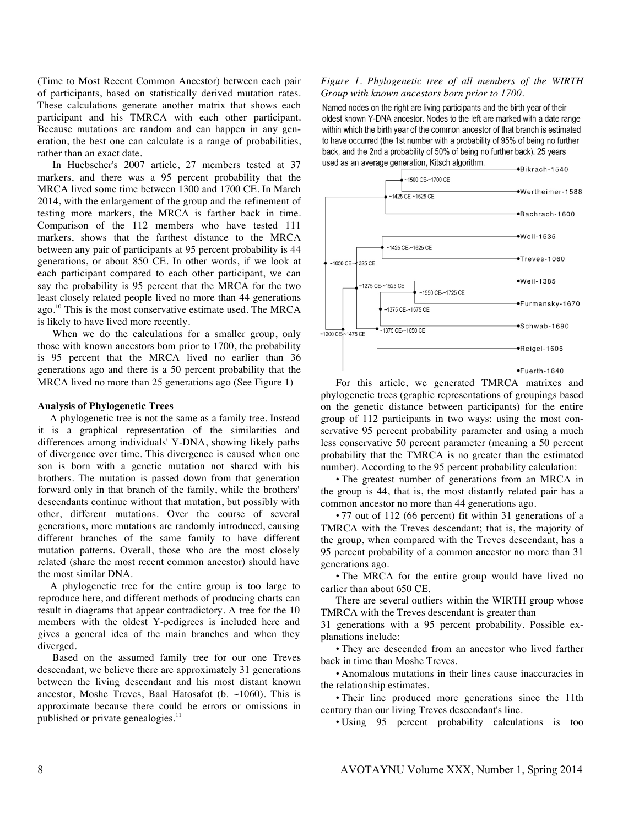(Time to Most Recent Common Ancestor) between each pair of participants, based on statistically derived mutation rates. These calculations generate another matrix that shows each participant and his TMRCA with each other participant. Because mutations are random and can happen in any generation, the best one can calculate is a range of probabilities, rather than an exact date.

In Huebscher's 2007 article, 27 members tested at 37 markers, and there was a 95 percent probability that the MRCA lived some time between 1300 and 1700 CE. In March 2014, with the enlargement of the group and the refinement of testing more markers, the MRCA is farther back in time. Comparison of the 112 members who have tested 111 markers, shows that the farthest distance to the MRCA between any pair of participants at 95 percent probability is 44 generations, or about 850 CE. In other words, if we look at each participant compared to each other participant, we can say the probability is 95 percent that the MRCA for the two least closely related people lived no more than 44 generations ago.<sup>10</sup> This is the most conservative estimate used. The MRCA is likely to have lived more recently.

When we do the calculations for a smaller group, only those with known ancestors bom prior to 1700, the probability is 95 percent that the MRCA lived no earlier than 36 generations ago and there is a 50 percent probability that the MRCA lived no more than 25 generations ago (See Figure 1)

# **Analysis of Phylogenetic Trees**

A phylogenetic tree is not the same as a family tree. Instead it is a graphical representation of the similarities and differences among individuals' Y-DNA, showing likely paths of divergence over time. This divergence is caused when one son is born with a genetic mutation not shared with his brothers. The mutation is passed down from that generation forward only in that branch of the family, while the brothers' descendants continue without that mutation, but possibly with other, different mutations. Over the course of several generations, more mutations are randomly introduced, causing different branches of the same family to have different mutation patterns. Overall, those who are the most closely related (share the most recent common ancestor) should have the most similar DNA.

A phylogenetic tree for the entire group is too large to reproduce here, and different methods of producing charts can result in diagrams that appear contradictory. A tree for the 10 members with the oldest Y-pedigrees is included here and gives a general idea of the main branches and when they diverged.

Based on the assumed family tree for our one Treves descendant, we believe there are approximately 31 generations between the living descendant and his most distant known ancestor, Moshe Treves, Baal Hatosafot (b. ~1060). This is approximate because there could be errors or omissions in published or private genealogies. $<sup>11</sup>$ </sup>

## *Figure 1. Phylogenetic tree of all members of the WIRTH Group with known ancestors born prior to 1700.*

Named nodes on the right are living participants and the birth year of their oldest known Y-DNA ancestor. Nodes to the left are marked with a date range within which the birth year of the common ancestor of that branch is estimated to have occurred (the 1st number with a probability of 95% of being no further back, and the 2nd a probability of 50% of being no further back). 25 years used as an average generation. Kitsch algorithm.



For this article, we generated TMRCA matrixes and phylogenetic trees (graphic representations of groupings based on the genetic distance between participants) for the entire group of 112 participants in two ways: using the most conservative 95 percent probability parameter and using a much less conservative 50 percent parameter (meaning a 50 percent probability that the TMRCA is no greater than the estimated number). According to the 95 percent probability calculation:

• The greatest number of generations from an MRCA in the group is 44, that is, the most distantly related pair has a common ancestor no more than 44 generations ago.

• 77 out of 112 (66 percent) fit within 31 generations of a TMRCA with the Treves descendant; that is, the majority of the group, when compared with the Treves descendant, has a 95 percent probability of a common ancestor no more than 31 generations ago.

• The MRCA for the entire group would have lived no earlier than about 650 CE.

There are several outliers within the WIRTH group whose TMRCA with the Treves descendant is greater than

31 generations with a 95 percent probability. Possible explanations include:

• They are descended from an ancestor who lived farther back in time than Moshe Treves.

• Anomalous mutations in their lines cause inaccuracies in the relationship estimates.

• Their line produced more generations since the 11th century than our living Treves descendant's line.

• Using 95 percent probability calculations is too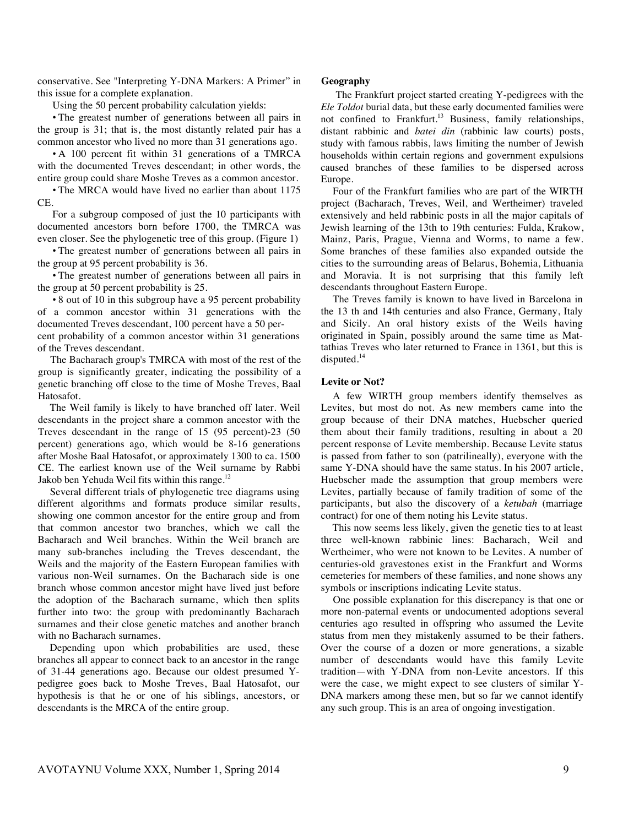conservative. See "Interpreting Y-DNA Markers: A Primer" in this issue for a complete explanation.

Using the 50 percent probability calculation yields:

• The greatest number of generations between all pairs in the group is 31; that is, the most distantly related pair has a common ancestor who lived no more than 31 generations ago.

• A 100 percent fit within 31 generations of a TMRCA with the documented Treves descendant; in other words, the entire group could share Moshe Treves as a common ancestor.

• The MRCA would have lived no earlier than about 1175 CE.

For a subgroup composed of just the 10 participants with documented ancestors born before 1700, the TMRCA was even closer. See the phylogenetic tree of this group. (Figure 1)

• The greatest number of generations between all pairs in the group at 95 percent probability is 36.

• The greatest number of generations between all pairs in the group at 50 percent probability is 25.

• 8 out of 10 in this subgroup have a 95 percent probability of a common ancestor within 31 generations with the documented Treves descendant, 100 percent have a 50 percent probability of a common ancestor within 31 generations of the Treves descendant.

The Bacharach group's TMRCA with most of the rest of the group is significantly greater, indicating the possibility of a genetic branching off close to the time of Moshe Treves, Baal Hatosafot.

The Weil family is likely to have branched off later. Weil descendants in the project share a common ancestor with the Treves descendant in the range of 15 (95 percent)-23 (50 percent) generations ago, which would be 8-16 generations after Moshe Baal Hatosafot, or approximately 1300 to ca. 1500 CE. The earliest known use of the Weil surname by Rabbi Jakob ben Yehuda Weil fits within this range.<sup>12</sup>

Several different trials of phylogenetic tree diagrams using different algorithms and formats produce similar results, showing one common ancestor for the entire group and from that common ancestor two branches, which we call the Bacharach and Weil branches. Within the Weil branch are many sub-branches including the Treves descendant, the Weils and the majority of the Eastern European families with various non-Weil surnames. On the Bacharach side is one branch whose common ancestor might have lived just before the adoption of the Bacharach surname, which then splits further into two: the group with predominantly Bacharach surnames and their close genetic matches and another branch with no Bacharach surnames.

Depending upon which probabilities are used, these branches all appear to connect back to an ancestor in the range of 31-44 generations ago. Because our oldest presumed Ypedigree goes back to Moshe Treves, Baal Hatosafot, our hypothesis is that he or one of his siblings, ancestors, or descendants is the MRCA of the entire group.

## **Geography**

The Frankfurt project started creating Y-pedigrees with the *Ele Toldot* burial data, but these early documented families were not confined to Frankfurt.<sup>13</sup> Business, family relationships, distant rabbinic and *batei din* (rabbinic law courts) posts, study with famous rabbis, laws limiting the number of Jewish households within certain regions and government expulsions caused branches of these families to be dispersed across Europe.

Four of the Frankfurt families who are part of the WIRTH project (Bacharach, Treves, Weil, and Wertheimer) traveled extensively and held rabbinic posts in all the major capitals of Jewish learning of the 13th to 19th centuries: Fulda, Krakow, Mainz, Paris, Prague, Vienna and Worms, to name a few. Some branches of these families also expanded outside the cities to the surrounding areas of Belarus, Bohemia, Lithuania and Moravia. It is not surprising that this family left descendants throughout Eastern Europe.

The Treves family is known to have lived in Barcelona in the 13 th and 14th centuries and also France, Germany, Italy and Sicily. An oral history exists of the Weils having originated in Spain, possibly around the same time as Mattathias Treves who later returned to France in 1361, but this is disputed.<sup>14</sup>

#### **Levite or Not?**

A few WIRTH group members identify themselves as Levites, but most do not. As new members came into the group because of their DNA matches, Huebscher queried them about their family traditions, resulting in about a 20 percent response of Levite membership. Because Levite status is passed from father to son (patrilineally), everyone with the same Y-DNA should have the same status. In his 2007 article, Huebscher made the assumption that group members were Levites, partially because of family tradition of some of the participants, but also the discovery of a *ketubah* (marriage contract) for one of them noting his Levite status.

This now seems less likely, given the genetic ties to at least three well-known rabbinic lines: Bacharach, Weil and Wertheimer, who were not known to be Levites. A number of centuries-old gravestones exist in the Frankfurt and Worms cemeteries for members of these families, and none shows any symbols or inscriptions indicating Levite status.

One possible explanation for this discrepancy is that one or more non-paternal events or undocumented adoptions several centuries ago resulted in offspring who assumed the Levite status from men they mistakenly assumed to be their fathers. Over the course of a dozen or more generations, a sizable number of descendants would have this family Levite tradition—with Y-DNA from non-Levite ancestors. If this were the case, we might expect to see clusters of similar Y-DNA markers among these men, but so far we cannot identify any such group. This is an area of ongoing investigation.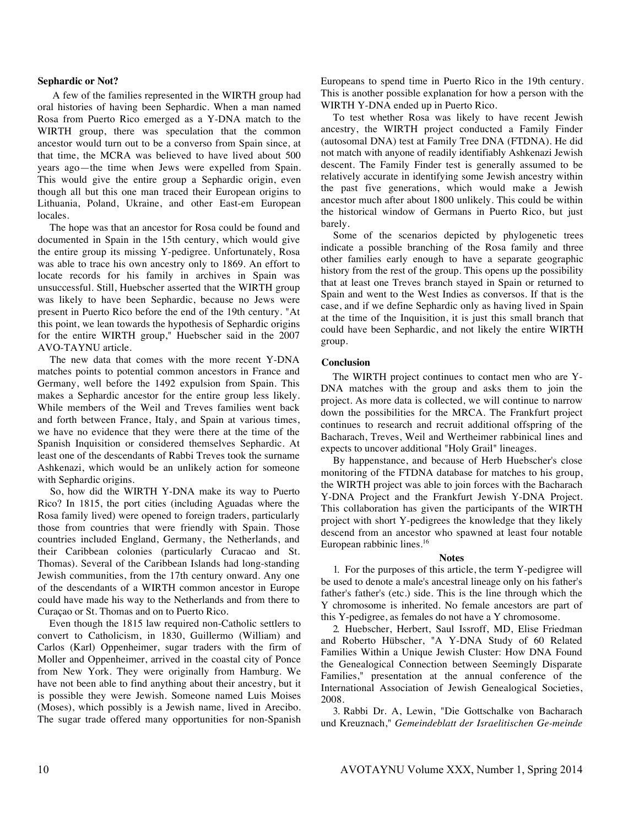#### **Sephardic or Not?**

A few of the families represented in the WIRTH group had oral histories of having been Sephardic. When a man named Rosa from Puerto Rico emerged as a Y-DNA match to the WIRTH group, there was speculation that the common ancestor would turn out to be a converso from Spain since, at that time, the MCRA was believed to have lived about 500 years ago—the time when Jews were expelled from Spain. This would give the entire group a Sephardic origin, even though all but this one man traced their European origins to Lithuania, Poland, Ukraine, and other East-em European locales.

The hope was that an ancestor for Rosa could be found and documented in Spain in the 15th century, which would give the entire group its missing Y-pedigree. Unfortunately, Rosa was able to trace his own ancestry only to 1869. An effort to locate records for his family in archives in Spain was unsuccessful. Still, Huebscher asserted that the WIRTH group was likely to have been Sephardic, because no Jews were present in Puerto Rico before the end of the 19th century. "At this point, we lean towards the hypothesis of Sephardic origins for the entire WIRTH group," Huebscher said in the 2007 AVO-TAYNU article.

The new data that comes with the more recent Y-DNA matches points to potential common ancestors in France and Germany, well before the 1492 expulsion from Spain. This makes a Sephardic ancestor for the entire group less likely. While members of the Weil and Treves families went back and forth between France, Italy, and Spain at various times, we have no evidence that they were there at the time of the Spanish Inquisition or considered themselves Sephardic. At least one of the descendants of Rabbi Treves took the surname Ashkenazi, which would be an unlikely action for someone with Sephardic origins.

So, how did the WIRTH Y-DNA make its way to Puerto Rico? In 1815, the port cities (including Aguadas where the Rosa family lived) were opened to foreign traders, particularly those from countries that were friendly with Spain. Those countries included England, Germany, the Netherlands, and their Caribbean colonies (particularly Curacao and St. Thomas). Several of the Caribbean Islands had long-standing Jewish communities, from the 17th century onward. Any one of the descendants of a WIRTH common ancestor in Europe could have made his way to the Netherlands and from there to Curaçao or St. Thomas and on to Puerto Rico.

Even though the 1815 law required non-Catholic settlers to convert to Catholicism, in 1830, Guillermo (William) and Carlos (Karl) Oppenheimer, sugar traders with the firm of Moller and Oppenheimer, arrived in the coastal city of Ponce from New York. They were originally from Hamburg. We have not been able to find anything about their ancestry, but it is possible they were Jewish. Someone named Luis Moises (Moses), which possibly is a Jewish name, lived in Arecibo. The sugar trade offered many opportunities for non-Spanish Europeans to spend time in Puerto Rico in the 19th century. This is another possible explanation for how a person with the WIRTH Y-DNA ended up in Puerto Rico.

To test whether Rosa was likely to have recent Jewish ancestry, the WIRTH project conducted a Family Finder (autosomal DNA) test at Family Tree DNA (FTDNA). He did not match with anyone of readily identifiably Ashkenazi Jewish descent. The Family Finder test is generally assumed to be relatively accurate in identifying some Jewish ancestry within the past five generations, which would make a Jewish ancestor much after about 1800 unlikely. This could be within the historical window of Germans in Puerto Rico, but just barely.

Some of the scenarios depicted by phylogenetic trees indicate a possible branching of the Rosa family and three other families early enough to have a separate geographic history from the rest of the group. This opens up the possibility that at least one Treves branch stayed in Spain or returned to Spain and went to the West Indies as conversos. If that is the case, and if we define Sephardic only as having lived in Spain at the time of the Inquisition, it is just this small branch that could have been Sephardic, and not likely the entire WIRTH group.

#### **Conclusion**

The WIRTH project continues to contact men who are Y-DNA matches with the group and asks them to join the project. As more data is collected, we will continue to narrow down the possibilities for the MRCA. The Frankfurt project continues to research and recruit additional offspring of the Bacharach, Treves, Weil and Wertheimer rabbinical lines and expects to uncover additional "Holy Grail" lineages.

By happenstance, and because of Herb Huebscher's close monitoring of the FTDNA database for matches to his group, the WIRTH project was able to join forces with the Bacharach Y-DNA Project and the Frankfurt Jewish Y-DNA Project. This collaboration has given the participants of the WIRTH project with short Y-pedigrees the knowledge that they likely descend from an ancestor who spawned at least four notable European rabbinic lines.<sup>16</sup>

#### **Notes**

1. For the purposes of this article, the term Y-pedigree will be used to denote a male's ancestral lineage only on his father's father's father's (etc.) side. This is the line through which the Y chromosome is inherited. No female ancestors are part of this Y-pedigree, as females do not have a Y chromosome.

2. Huebscher, Herbert, Saul Issroff, MD, Elise Friedman and Roberto Hübscher, "A Y-DNA Study of 60 Related Families Within a Unique Jewish Cluster: How DNA Found the Genealogical Connection between Seemingly Disparate Families," presentation at the annual conference of the International Association of Jewish Genealogical Societies, 2008.

3. Rabbi Dr. A, Lewin, "Die Gottschalke von Bacharach und Kreuznach," *Gemeindeblatt der Israelitischen Ge-meinde*